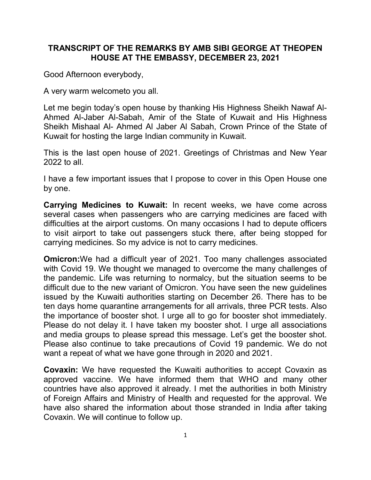## TRANSCRIPT OF THE REMARKS BY AMB SIBI GEORGE AT THEOPEN HOUSE AT THE EMBASSY, DECEMBER 23, 2021

Good Afternoon everybody,

A very warm welcometo you all.

Let me begin today's open house by thanking His Highness Sheikh Nawaf Al-Ahmed Al-Jaber Al-Sabah, Amir of the State of Kuwait and His Highness Sheikh Mishaal Al- Ahmed Al Jaber Al Sabah, Crown Prince of the State of Kuwait for hosting the large Indian community in Kuwait.

This is the last open house of 2021. Greetings of Christmas and New Year 2022 to all.

I have a few important issues that I propose to cover in this Open House one by one.

Carrying Medicines to Kuwait: In recent weeks, we have come across several cases when passengers who are carrying medicines are faced with difficulties at the airport customs. On many occasions I had to depute officers to visit airport to take out passengers stuck there, after being stopped for carrying medicines. So my advice is not to carry medicines.

Omicron:We had a difficult year of 2021. Too many challenges associated with Covid 19. We thought we managed to overcome the many challenges of the pandemic. Life was returning to normalcy, but the situation seems to be difficult due to the new variant of Omicron. You have seen the new guidelines issued by the Kuwaiti authorities starting on December 26. There has to be ten days home quarantine arrangements for all arrivals, three PCR tests. Also the importance of booster shot. I urge all to go for booster shot immediately. Please do not delay it. I have taken my booster shot. I urge all associations and media groups to please spread this message. Let's get the booster shot. Please also continue to take precautions of Covid 19 pandemic. We do not want a repeat of what we have gone through in 2020 and 2021.

Covaxin: We have requested the Kuwaiti authorities to accept Covaxin as approved vaccine. We have informed them that WHO and many other countries have also approved it already. I met the authorities in both Ministry of Foreign Affairs and Ministry of Health and requested for the approval. We have also shared the information about those stranded in India after taking Covaxin. We will continue to follow up.